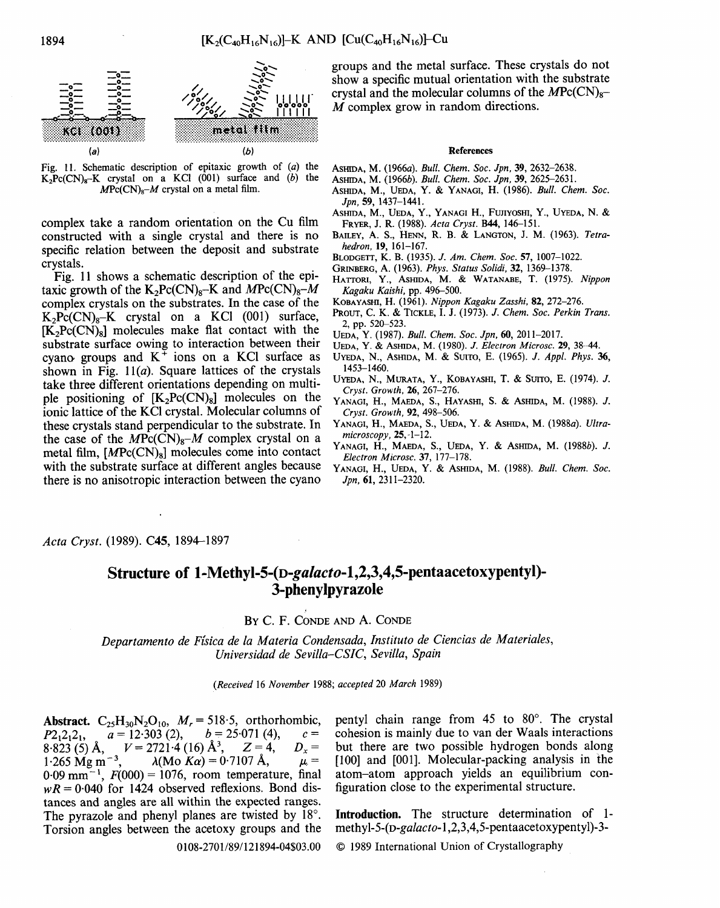

Fig. 11. Schematic description of epitaxic growth of  $(a)$  the  $K_2Pc(CN)_8-K$  crystal on a KCl (001) surface and (b) the  $MPC(CN)<sub>8</sub>-M$  crystal on a metal film.

complex take a random orientation on the Cu film constructed with a single crystal and there is no specific relation between the deposit and substrate crystals.

Fig. 11 shows a schematic description of the epitaxic growth of the K<sub>2</sub>Pc(CN)<sub>8</sub>-K and  $MPC(CN)_{8}-M$ complex crystals on the substrates. In the case of the  $K_2P_C(CN)_8-K$  crystal on a KCl (001) surface,  $[K<sub>2</sub>PC(CN)<sub>8</sub>]$  molecules make flat contact with the substrate surface owing to interaction between their cyano groups and  $K^+$  ions on a KCl surface as shown in Fig.  $11(a)$ . Square lattices of the crystals take three different orientations depending on multiple positioning of  $[K_2Pc(CN)_8]$  molecules on the ionic lattice of the KC1 crystal. Molecular columns of these crystals stand perpendicular to the substrate. In the case of the  $M\text{Pc}(\overline{CN})_8-M$  complex crystal on a metal film,  $[MPc(CN)_8]$  molecules come into contact with the substrate surface at different angles because there is no anisotropic interaction between the cyano

groups and the metal surface. These crystals do not show a specific mutual orientation with the substrate crystal and the molecular columns of the  $MPC(CN)_{8-}$ M complex grow in random directions.

#### References

- ASmDA, M. (1966a). *Bull. Chem. Soc. Jpn,* 39, 2632-2638.
- ASm'DA, M. (1966b). *Bull. Chem. Soc. Jpn,* 39, 2625-2631.
- ASHIDA, M., UEDA, Y. & YANAGI, H. (1986). *Bull. Chem. Soc. Jpn,* 59, 1437-1441.
- ASHIDA, M., UEDA, Y., YANAGI H., FUJIYOSHI, Y., UYEDA, N. & FRYER, J. R. (1988). *Acta Cryst.* B44, 146-151.
- BAILEY, A. S., HENN, R. B. & LANGTON, J. M. (1963). *Tetrahedron,* 19, 161-167.
- BLODGETT, K. B. (1935). J. *Am. Chem. Soc.* 57, 1007-1022.
- GRINBERG, A. (1963). *Phys. Status Solidi,* 32, 1369--1378.
- HATTORI, Y., ASHIDA, M. & WATANABE, T. (1975). *Nippon Kagaku Kaishi,* pp. 496-500.
- KOBAYASHI, H. (1961). *Nippon Kagaku Zasshi,* 82, 272-276.
- PROUT, C. K. TICKLE, I. J. (1973). J. *Chem. Soc. Perkin Trans.*  2, pp. 520-523.
- UEDA, Y. (1987). *Bull. Chem. Soc. Jpn,* 60, 2011-2017.
- UEDA, Y. & ASmDA, M. (1980). J. *EleCtron Microsc.* 29, 38-44.
- UYEDA, N., ASHIDA, M. & SUITO, E. (1965). *J. Appl. Phys.* 36, 1453-1460.
- UYEDA, N., MURATA, Y., KOBAYASHI, T. & SUITO, E. (1974). J. *Cryst. Growth,* 26, 267-276.
- YANAGI, n., MAEDA, S., HAYASHI, S. & ASHIDA, M. (1988). J. *Cryst. Growth,* 92, 498-506.
- YANAGI, H., MAEDA, S., UEDA, Y. & ASHIDA, M. (1988a). *Ultramicroscopy,* 25,-1-12.
- YANAGI, H., MAEDA, S., UEDA, Y. & ASHIDA, M. (1988b). J. *Electron Microsc.* 37, 177-178.
- YANAGI, H., UEDA, Y. & ASHIDA, M. (1988). *Bull. Chem. Soc. Jpn,* 61, 2311-2320.

*Acta Cryst.* (1989). C45, 1894-1897

# **Structure of** *1-Methyl-5-(D-galacto-l,2,3,4,5-pentaacetoxypentyl)-*  **3-phenylpyrazole**

## BY C. F. CONDE AND A. CONDE

*Departamento de F[sica de la Materia Condensada, Instituto de Ciencias de Materiales, Universidad de Sevilla-CSIC, Sevilla, Spain* 

*(Received* 16 *November* 1988; *accepted* 20 *March* 1989)

Abstract. C<sub>25</sub>H<sub>30</sub>N<sub>2</sub>O<sub>10</sub>,  $M_r = 518.5$ , orthorhombic,<br> $P2_12_12_1$ ,  $a = 12.303$  (2),  $b = 25.071$  (4),  $c =$  $P2_12_12_1$ ,  $a = 12.303$  (2),  $b = 25.071$  (4)<br>8.823 (5) Å,  $V = 2721.4$  (16) Å<sup>3</sup>,  $Z = 4$ , 8.823 (5) Å,  $V = 2721.4$  (16) Å<sup>3</sup>,  $Z = 4$ ,  $D_x = 1.265$  Mg m<sup>-3</sup>,  $\lambda$ (Mo Ka) = 0.7107 Å,  $\mu =$  $\lambda(Mo K\alpha) = 0.7107 \text{ Å}, \qquad \mu =$  $0.09$  mm<sup>-1</sup>,  $F(000) = 1076$ , room temperature, final  $wR = 0.040$  for 1424 observed reflexions. Bond distances and angles are all within the expected ranges. The pyrazole and phenyl planes are twisted by  $18^{\circ}$ . Torsion angles between the acetoxy groups and the pentyl chain range from  $45$  to  $80^\circ$ . The crystal cohesion is mainly due to van der Waals interactions but there are two possible hydrogen bonds along [100] and [001]. Molecular-packing analysis in the atom-atom approach yields an equilibrium configuration close to the experimental structure.

Introduction. The structure determination of 1 methyl- *5-(o-galacto-* 1,2, 3,4, 5-pentaacetoxypentyl)-3-

© 1989 International Union of Crystallography

0108-2701/89/121894-04503.00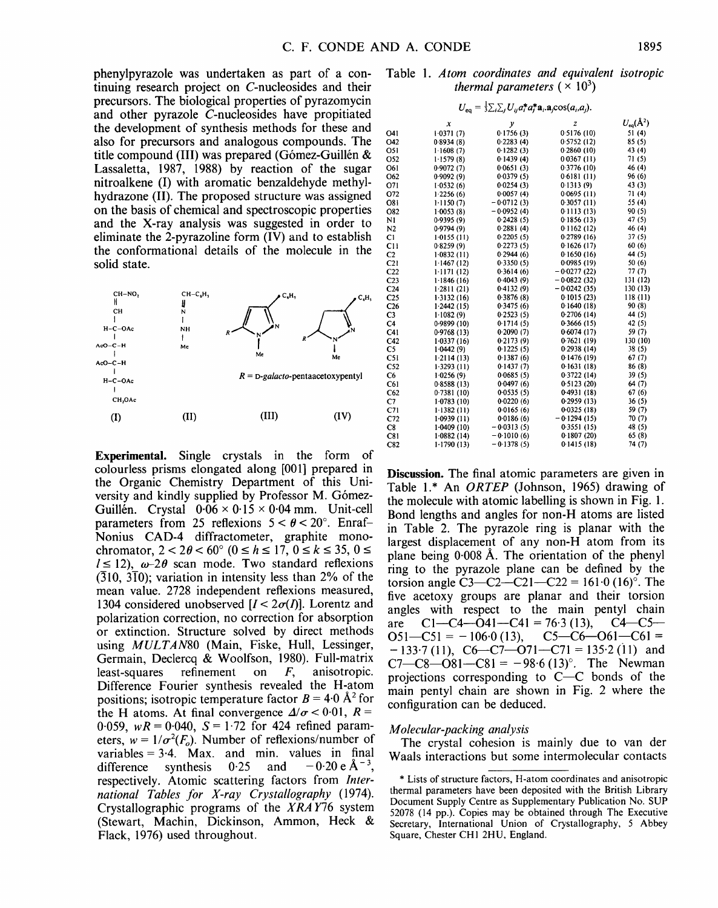phenylpyrazole was undertaken as part of a continuing research project on C-nucleosides and their precursors. The biological properties of pyrazomycin and other pyrazole C-nucleosides have propitiated the development of synthesis methods for these and also for precursors and analogous compounds. The title compound (III) was prepared (Gómez-Guillén  $&$ Lassaletta, 1987, 1988) by reaction of the sugar nitroalkene (I) with aromatic benzaldehyde methylhydrazone (II). The proposed structure was assigned on the basis of chemical and spectroscopic properties and the X-ray analysis was suggested in order to eliminate the 2-pyrazoline form (IV) and to establish the conformational details of the molecule in the solid state.



Experimental. Single crystals in the form of colourless prisms elongated along [001] prepared in the Organic Chemistry Department of this University and kindly supplied by Professor M. Gómez-Guillén. Crystal  $0.06 \times 0.15 \times 0.04$  mm. Unit-cell parameters from 25 reflexions  $5 < \theta < 20^{\circ}$ . Enraf-Nonius CAD-4 diffractometer, graphite monochromator,  $2 < 2\theta < 60^{\circ}$  ( $0 \le h \le 17$ ,  $0 \le k \le 35$ ,  $0 \le$  $l \le 12$ ),  $\omega$ -2 $\theta$  scan mode. Two standard reflexions  $(310, 3\overline{1}0)$ ; variation in intensity less than 2% of the mean value. 2728 independent reflexions measured, 1304 considered unobserved  $[I < 2\sigma(I)]$ . Lorentz and polarization correction, no correction for absorption or extinction. Structure solved by direct methods using *MULTAN80* (Main, Fiske, Hull, Lessinger, Germain, Declercq & Woolfson, 1980). Full-matrix least-squares refinement on F, anisotropic. Difference Fourier synthesis revealed the H-atom positions; isotropic temperature factor  $B = 4.0 \text{ Å}^2$  for the H atoms. At final convergence  $\Delta/\sigma < 0.01$ ,  $R =$ 0.059,  $wR = 0.040$ ,  $S = 1.72$  for 424 refined parameters,  $w = 1/\sigma^2(F_o)$ . Number of reflexions/number of variables  $= 3.4$ . Max. and min. values in final difference synthesis  $0.25$  and  $-0.20 \text{ e A}^{-3}$ . respectively. Atomic scattering factors from *International Tables for X-ray Crystallography* (1974). Crystallographic programs of the *XRA* Y76 system (Stewart, Machin, Dickinson, Ammon, Heck & Flack, 1976) used throughout.

### Table 1. *Atom coordinates and equivalent isotropic thermal parameters*  $(\times 10^3)$

| $U_{\mathbf{eq}} = \frac{1}{3} \sum_i \sum_j U_{ij} a_i^* a_j^* a_i \cdot \mathbf{a}_j \cos(a_i, a_j).$ |              |              |               |                 |  |  |
|---------------------------------------------------------------------------------------------------------|--------------|--------------|---------------|-----------------|--|--|
|                                                                                                         | x            | у            | z             | $U_{eq}(\AA^2)$ |  |  |
| 041                                                                                                     | 1.0371(7)    | 0.1756(3)    | 0.5176(10)    | 51(4)           |  |  |
| O42                                                                                                     | 0.8934(8)    | 0.2283(4)    | 0.5752(12)    | 85 (5)          |  |  |
| 051                                                                                                     | 1.1608(7)    | 0.1282(3)    | 0.2860(10)    | 43 (4)          |  |  |
| O52                                                                                                     | 1.1579(8)    | 0.1439(4)    | 0.0367(11)    | 71(5)           |  |  |
| 061                                                                                                     | 0.9072(7)    | 0.0651(3)    | 0.3776(10)    | 46 (4)          |  |  |
| O62                                                                                                     | 0.9092(9)    | 0.0379(5)    | 0.6181(11)    | 96 (6)          |  |  |
| 071                                                                                                     | 1.0532(6)    | 0.0254(3)    | 0.1313(9)     | 43(3)           |  |  |
| O72                                                                                                     | 1.2256(6)    | 0.0057(4)    | 0.0695(11)    | 71 (4)          |  |  |
| O81                                                                                                     | 1.1150(7)    | $-0.0712(3)$ | 0.3057(11)    | 55 (4)          |  |  |
| O82                                                                                                     | 1.0053(8)    | $-0.0952(4)$ | 0.1113(13)    | 90(5)           |  |  |
| N1                                                                                                      | 0.9395(9)    | 0.2428(5)    | 0.1856(13)    | 47 (5)          |  |  |
| N <sub>2</sub>                                                                                          | 0.9794(9)    | 0.2881(4)    | 0.1162(12)    | 46 (4)          |  |  |
| Cl                                                                                                      | $1-0155(11)$ | 0.2205(5)    | 0.2789(16)    | 37(5)           |  |  |
| CH                                                                                                      | 0.8259(9)    | 0.2273(5)    | 0.1626(17)    | 60(6)           |  |  |
| C <sub>2</sub>                                                                                          | 1.0832(11)   | 0.2944(6)    | 0.1650(16)    | 44 (5)          |  |  |
| C21                                                                                                     | 1.1467(12)   | 0.3350(5)    | 0.0985(19)    | 50(6)           |  |  |
| C <sub>22</sub>                                                                                         | $1-1171(12)$ | 0.3614(6)    | $-0.0277(22)$ | 77 (7)          |  |  |
| C <sub>23</sub>                                                                                         | 1.1846(16)   | 0.4043(9)    | $-0.0822(32)$ | 131 (12)        |  |  |
| C <sub>24</sub>                                                                                         | 1.2811(21)   | 0.4132(9)    | $-0.0242(35)$ | 130 (13)        |  |  |
| C <sub>25</sub>                                                                                         | 1.3132(16)   | 0.3876(8)    | 0.1015(23)    | 118(11)         |  |  |
| C <sub>26</sub>                                                                                         | 1.2442(15)   | 0.3475(6)    | 0.1640(18)    | 90(8)           |  |  |
| C3                                                                                                      | 1.1082(9)    | 0.2523(5)    | 0.2706(14)    | 44 (5)          |  |  |
| C <sub>4</sub>                                                                                          | 0.9899(10)   | 0.1714(5)    | 0.3666(15)    | 42 (5)          |  |  |
| C41                                                                                                     | 0.9768(13)   | 0.2090(7)    | 0.6074(17)    | 59 (7)          |  |  |
| C42                                                                                                     | 1.0337(16)   | 0.2173(9)    | 0.7621 (19)   | 130 (10)        |  |  |
| C5                                                                                                      | 1.0442(9)    | 0.1225(5)    | 0.2938(14)    | 38 (5)          |  |  |
| C51                                                                                                     | 1.2114(13)   | 0.1387(6)    | 0.1476(19)    | 67(7)           |  |  |
| C52                                                                                                     | 1.3293(11)   | 0.1437(7)    | 0-1631 (18)   | 86 (8)          |  |  |
| C6                                                                                                      | 1.0256(9)    | 0.0685(5)    | 0.3722(14)    | 39(5)           |  |  |
| C61                                                                                                     | 0.8588(13)   | 0.0497(6)    | 0.5123(20)    | 64 (7)          |  |  |
| C62                                                                                                     | 0.7381(10)   | 0.0535(5)    | 0.4931(18)    | 67(6)           |  |  |
| C7                                                                                                      | 1.0783(10)   | 0.0220(6)    | 0.2959(13)    | 36(5)           |  |  |
| C71                                                                                                     | 1.1382(11)   | 0.0165(6)    | 0.0325(18)    | 59 (7)          |  |  |
| C <sub>72</sub>                                                                                         | 1.0939(11)   | 0.0186(6)    | $-0.1294(15)$ | 70(7)           |  |  |
| C8                                                                                                      | 1.0409 (10)  | $-0.0313(5)$ | 0.3551(15)    | 48 (5)          |  |  |
| C81                                                                                                     | 1.0882(14)   | $-0.1010(6)$ | 0.1807(20)    | 65 (8)          |  |  |
| C82                                                                                                     | 1.1790(13)   | $-0.1378(5)$ | 0.1415(18)    | 74 (7)          |  |  |

Discussion. The final atomic parameters are given in Table 1.\* An *ORTEP* (Johnson, 1965) drawing of the molecule with atomic labelling is shown in Fig. 1. Bond lengths and angles for non-H atoms are listed in Table 2. The pyrazole ring is planar with the largest displacement of any non-H atom from its plane being  $0.008~\text{\AA}$ . The orientation of the phenyl ring to the pyrazole plane can be defined by the torsion angle C3--C2--C21--C22 = 161.0 (16)°. The five acetoxy groups are planar and their torsion angles with respect to the main pentyl chain are C1---C4--O41--C41 = 76.3 (13), C4--C5--  $O51-C51 = -106.0$  (13),  $-133.7(11)$ , C6-C7-O71-C71 = 135.2(11) and  $C7-C8-O81-C81 = -98.6(13)$ °. The Newman projections corresponding to  $C-C$  bonds of the main pentyl chain are shown in Fig. 2 where the configuration can be deduced.

### *Molecular-packing analysis*

The crystal cohesion is mainly due to van der Waals interactions but some intermolecular contacts

<sup>\*</sup> Lists of structure factors, H-atom coordinates and anisotropic thermal parameters have been deposited with the British Library Document Supply Centre as Supplementary Publication No. SUP 52078 (14 pp.). Copies may be obtained through The Executive Secretary, International Union of Crystallography, 5 Abbey Square, Chester CHI 2HU, England.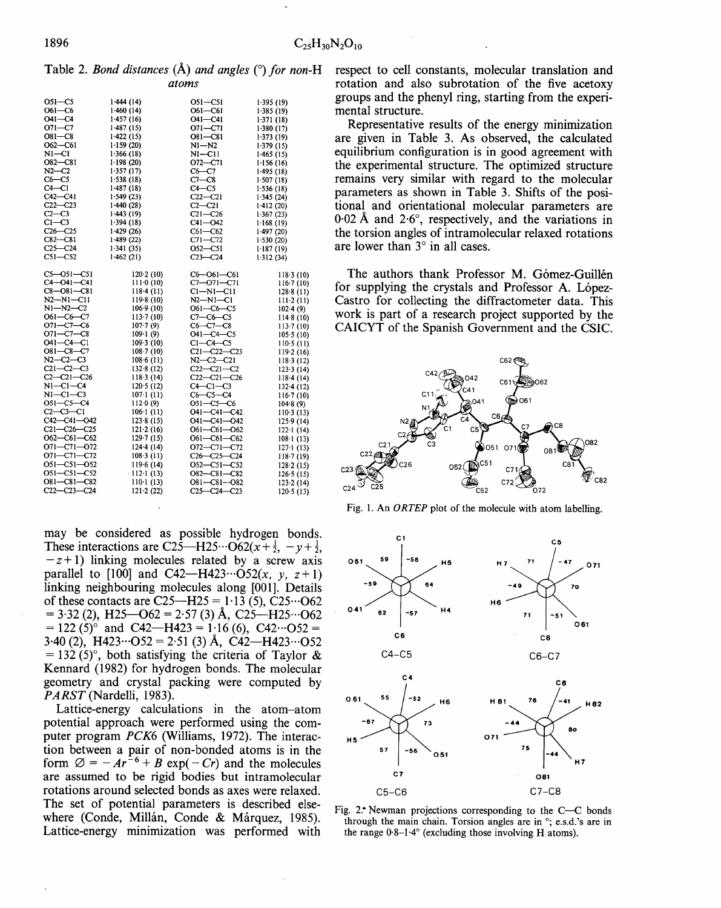**Table 2.** *Bond distances* (Å) and angles ( $\degree$ ) for non-H *atoms* 

| O51-C5            | 1.444(14)         | O51-C51           | 1.395(19)         |
|-------------------|-------------------|-------------------|-------------------|
| O61-C6            | 1.460 (14)        | O61—C61           | 1.385(19)         |
| O41-C4            | 1.457(16)         | O41-C41           | 1.371(18)         |
| $O71 - C7$        | 1.487(15)         | O71-C71           | 1.380(17)         |
| $O81-C8$          | 1.422(15)         | $O81 - C81$       | 1.373(19)         |
| $O62 - C61$       | 1.159(20)         | $N1 - N2$         | 1.379(15)         |
| N1—C1             | 1-366 (18)        | NI—C11            | 1.465(15)         |
| O82-C81           | 1.198(20)         | O72-C71           | 1.156(16)         |
| N2—C2             | 1.357(17)         | $C6-C7$           | 1.495 (18)        |
| $C6-C5$           | 1.538(18)         | $C7-C8$           | 1.507(18)         |
| $C4-C1$           | 1.487(18)         | $C4-C5$           | 1 536 (18)        |
| $C42-C41$         | 1.549(23)         | $C22-C21$         | 1.345(24)         |
| $C22-C23$         | 1-440 (28)        | $C2-C21$          | 1.412(20)         |
| $C2-C3$           | 1-443 (19)        | $C21 - C26$       | 1.367(23)         |
| $C1-C3$           | 1.394(18)         | $C41 - O42$       | 1.168(19)         |
| $C26-C25$         | 1.429(26)         | $C61-C62$         | 1.497(20)         |
| $C82-C81$         | 1.489(22)         | $C71 - C72$       | 1.530(20)         |
| $C25-C24$         | 1.341(35)         | O52-C51           | 1.187(19)         |
| $CS1 - CS2$       | 1.462(21)         | $C23-C24$         | 1.312(34)         |
| $C5 - O51 - C51$  | 120.2(10)         | $C6 - O61 - C61$  | 118.3(10)         |
| C4--041-C41       | $111-0(10)$       | C7-071-C71        | 116.7(10)         |
| C8-081-C81        | 118-4 (11)        | $Cl-MI-Cl1$       | 128.8(11)         |
| $N2 - N1 - C11$   | 119-8 (10)        | $N2-N1-C1$        | $111-2(11)$       |
| $N1 - N2 - C2$    | 106.9(10)         | O61-C6-C5         | 102.4(9)          |
| 061—C6—C7         | 113.7(10)         | $C7-C6-C5$        | 114.8(10)         |
| $O71 - C7 - C6$   | 107·7(9)          | $C6 - C7 - C8$    | 113.7(10)         |
| $O71 - C7 - C8$   | $109 - 1(9)$      | 041-C4-C5         | 105.5(10)         |
| 041—C4—C1         | 109.3(10)         | $C1-C4-C5$        | 110-5 (11)        |
| $O81 - C8 - C7$   | $108 \cdot 7(10)$ | $C21 - C22 - C23$ | 119.2(16)         |
| $N2 - C2 - C3$    | 108.6(11)         | $N2-C2-C21$       | 118.3(12)         |
| $C21-C2-C3$       | 132.8(12)         | $C22-C21-C2$      | 123.3(14)         |
| $C2-C21-C26$      | 118.3(14)         | $C22-C21-C26$     | 118.4(14)         |
| $N1-C1-C4$        | 120.5(12)         | $C4-C1-C3$        | $132 - 4(12)$     |
| N1-C1-C3          | 107·1(11)         | $C6-C5-C4$        | 116.7(10)         |
| O51-C5-C4         | 112.0(9)          | O51—C5—C6         | 104.8(9)          |
| C2-C3-C1          | $106 \cdot 1(11)$ | 041-C41-C42       | $110-3(13)$       |
| $C42 - C41 - 042$ | 123.8(15)         | O41-C41-O42       | 125.9(14)         |
| $C21 - C26 - C25$ | 121.2(16)         | O61-C61-O62       | 122.1(14)         |
| O62-C61-C62       | 129.7(15)         | O61-C61-C62       | $108 \cdot 1(13)$ |
| 071–C71–072       | $124-4(14)$       | O72-C71-C72       | 127.1(13)         |
| O71-C71-C72       | 108.3(11)         | C26-C25-C24       | 118.7(19)         |
| 051-C51-052       | 119.6(14)         | O52-C51-C52       | 128.2(15)         |
| O51-C51-C52       | $-112-1(13)$      | $O82 - C81 - C82$ | 126.5(15)         |
| O81-C81-C82       | $110-1(13)$       | $O81 - C81 - O82$ | 123.2(14)         |
| $C22 - C23 - C24$ | 121.2(22)         | $C25-C24-C23$     | $120-5(13)$       |

**may be considered as possible hydrogen bonds.**  These interactions are C25—H25... $O62(x+\frac{1}{2}, -y+\frac{1}{2})$ **-z+l) linking molecules related by a screw axis**  parallel to [100] and C42- $-H423 \cdots O52(x, y, z+1)$ **linking neighbouring molecules along [001]. Details of these contacts are C25--H25 = 1.13 (5), C25...O62**   $= 3.32$  (2), H25- $-$ O62  $= 2.57$  (3) Å, C25- $-$ H25 $\cdots$ O62  $= 122 (5)$ ° and C42—H423 = 1.16 (6), C42…O52 = **3.40 (2), H423...O52 = 2.51 (3) A, C42--H423...O52**   $= 132$  (5)<sup>o</sup>, both satisfying the criteria of Taylor & **Kennard (1982) for hydrogen bonds. The molecular geometry and crystal packing were computed by**  *PARST* **(Nardelli, 1983).** 

**Lattice-energy calculations in the atom-atom potential approach were performed using the computer program** *PCK6* **(Williams, 1972). The interaction between a pair of non-bonded atoms is in the**  form  $\varnothing = -Ar^{-6} + B \exp(-Cr)$  and the molecules **are assumed to be rigid bodies but intramolecular rotations around selected bonds as axes were relaxed. The set of potential parameters is described else**where (Conde, Millán, Conde & Márquez, 1985). **Lattice-energy minimization was performed with**  **respect to cell constants, molecular translation and rotation and also subrotation of the five acetoxy groups and the phenyl ring, starting from the experimental structure.** 

**Representative results of the energy minimization are given in Table 3. As observed, the calculated equilibrium configuration is in good agreement with the experimental structure. The optimized structure remains very similar with regard to the molecular parameters as shown in Table 3. Shifts of the positional and orientational molecular parameters are 0.02 A and 2.6 °, respectively, and the variations in the torsion angles of intramolecular relaxed rotations**  are lower than  $3^\circ$  in all cases.

The authors thank Professor M. Gómez-Guillén for supplying the crystals and Professor A. López-**Castro for collecting the diffractometer data. This work is part of a research project supported by the CAICYT of the Spanish Government and the CSIC.** 



**Fig. l. An** *ORTEP* **plot of the molecule with atom labelling.** 



Fig. 2. Newman projections corresponding to the C--C bonds **through the main chain. Torsion angles are in °; e.s.d.'s are in the range 0.8-1.4 ° (excluding those involving H atoms).**